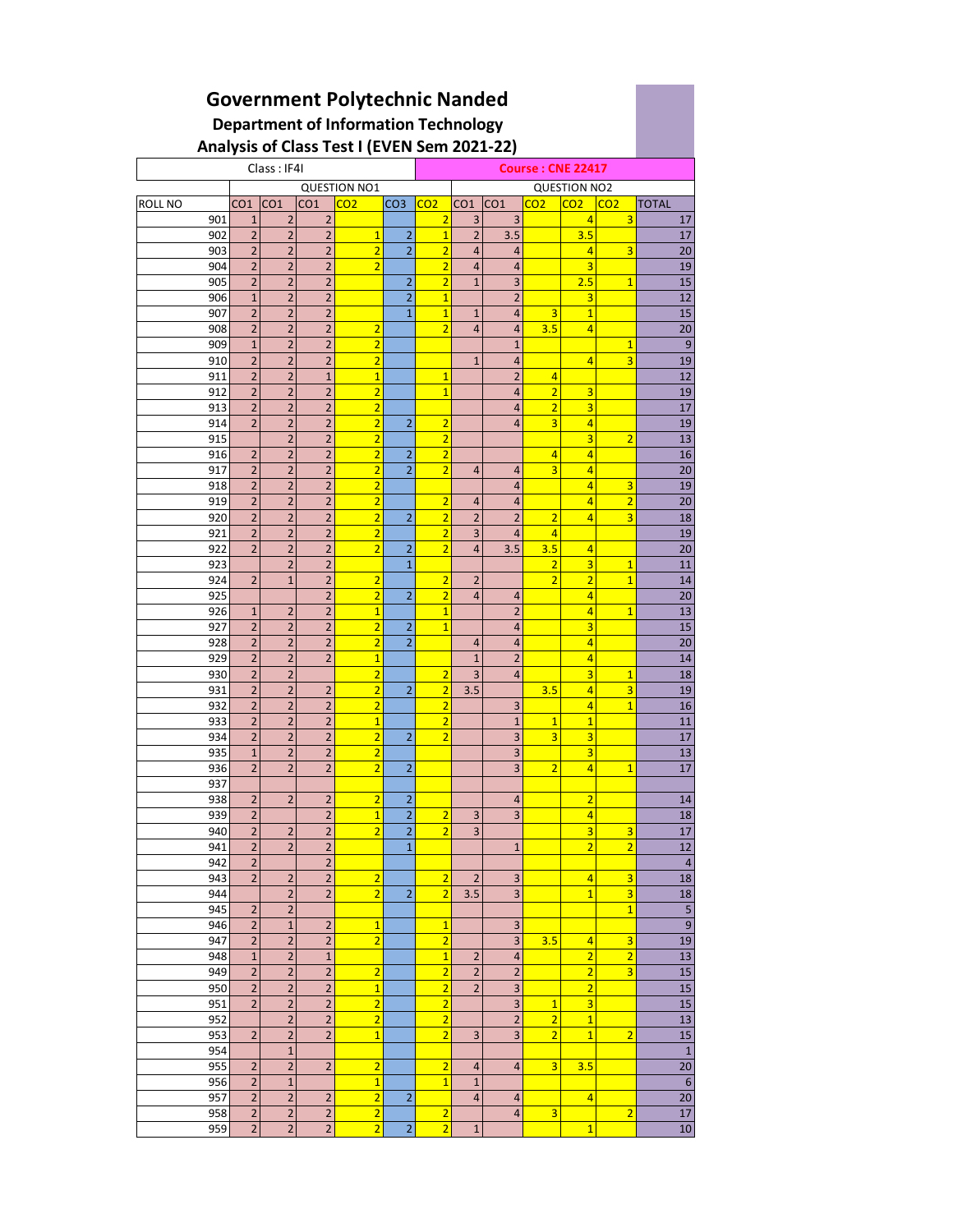## **Government Polytechnic Nanded Department of Information Technology Analysis of Class Test I (EVEN Sem 2021-22)**

|                |                |                | -,              |                     |                         |                |                          |                         |                         |                         |                 |                  |  |  |
|----------------|----------------|----------------|-----------------|---------------------|-------------------------|----------------|--------------------------|-------------------------|-------------------------|-------------------------|-----------------|------------------|--|--|
| Class: IF4I    |                |                |                 |                     |                         |                | <b>Course: CNE 22417</b> |                         |                         |                         |                 |                  |  |  |
|                |                |                |                 | <b>QUESTION NO1</b> |                         |                | <b>QUESTION NO2</b>      |                         |                         |                         |                 |                  |  |  |
| <b>ROLL NO</b> |                | $CO1$ $CO1$    | CO <sub>1</sub> | CO <sub>2</sub>     | CO3 CO2                 |                | CO1                      | CO1                     | CO <sub>2</sub>         | CO <sub>2</sub>         | CO <sub>2</sub> | <b>TOTAL</b>     |  |  |
| 901            | $\mathbf{1}$   | $\overline{2}$ | $\overline{2}$  |                     |                         | $\overline{2}$ | 3                        | 3                       |                         | $\vert 4 \vert$         | 3               | 17               |  |  |
| 902            | $\overline{2}$ | $\overline{2}$ | $\overline{2}$  | $\overline{1}$      | 2                       | $\overline{1}$ | $\overline{2}$           | 3.5                     |                         | 3.5                     |                 | 17               |  |  |
| 903            | $\overline{2}$ | $\overline{2}$ | $\mathbf 2$     | $\overline{2}$      | $\overline{2}$          | $\overline{2}$ | 4                        | 4                       |                         | $\overline{4}$          | 3               | 20               |  |  |
| 904            | $\overline{2}$ | $\overline{2}$ | $\overline{2}$  | $\overline{2}$      |                         | $\overline{2}$ | $\overline{4}$           | $\overline{4}$          |                         | 3                       |                 | 19               |  |  |
|                |                |                |                 |                     |                         | $\overline{2}$ |                          |                         |                         | 2.5                     |                 |                  |  |  |
| 905            | $\overline{2}$ | $\overline{2}$ | $\overline{2}$  |                     | $\overline{2}$          |                | $\mathbf{1}$             | 3                       |                         |                         | $\mathbf{1}$    | 15               |  |  |
| 906            | $1\,$          | $\overline{2}$ | $\overline{2}$  |                     | $\overline{2}$          | $\overline{1}$ |                          | $\overline{2}$          |                         | 3                       |                 | 12               |  |  |
| 907            | $\overline{2}$ | $\overline{2}$ | $\overline{2}$  |                     | 1                       | $\overline{1}$ | $\mathbf{1}$             | 4                       | 3                       | $\mathbf{1}$            |                 | 15               |  |  |
| 908            | $\overline{2}$ | $\overline{2}$ | $\overline{2}$  | $\overline{2}$      |                         | $\overline{2}$ | $\overline{4}$           | 4                       | 3.5                     | $\overline{4}$          |                 | 20               |  |  |
| 909            | $\mathbf{1}$   | $\overline{2}$ | $\overline{2}$  | $\overline{2}$      |                         |                |                          | $\mathbf{1}$            |                         |                         | $\overline{1}$  | $\overline{9}$   |  |  |
| 910            | $\overline{2}$ | $\overline{2}$ | $\overline{2}$  | $\overline{2}$      |                         |                | $\mathbf{1}$             | 4                       |                         | $\overline{4}$          | 3               | 19               |  |  |
| 911            | $\overline{2}$ | $\overline{2}$ | $\mathbf{1}$    | $\overline{1}$      |                         | $\overline{1}$ |                          | $\overline{2}$          | $\overline{4}$          |                         |                 | 12               |  |  |
| 912            | $\overline{2}$ | $\overline{2}$ | $\overline{2}$  | $\overline{2}$      |                         | $\overline{1}$ |                          | 4                       | $\overline{2}$          | 3                       |                 | 19               |  |  |
| 913            | $\overline{2}$ | $\overline{2}$ | 2               | $\overline{2}$      |                         |                |                          | 4                       | $\overline{2}$          | 3                       |                 | 17               |  |  |
| 914            | $\overline{2}$ | $\overline{2}$ | $\mathbf 2$     | $\overline{2}$      | $\overline{2}$          | $\overline{2}$ |                          | 4                       | 3                       | $\overline{4}$          |                 | 19               |  |  |
| 915            |                | $\overline{2}$ | $\overline{2}$  | $\overline{2}$      |                         | $\overline{2}$ |                          |                         |                         | $\overline{\mathbf{3}}$ | $\overline{2}$  | 13               |  |  |
| 916            | $\overline{2}$ | $\overline{2}$ | $\overline{2}$  | $\overline{2}$      | 2                       | $\overline{2}$ |                          |                         | $\overline{4}$          | $\overline{4}$          |                 | 16               |  |  |
|                |                |                |                 | $\overline{a}$      | $\overline{2}$          | $\overline{2}$ | $\overline{a}$           |                         | $\overline{3}$          |                         |                 |                  |  |  |
| 917            | $\overline{2}$ | $\overline{2}$ | 2               |                     |                         |                |                          | 4                       |                         | $\overline{4}$          |                 | 20               |  |  |
| 918            | $\overline{2}$ | $\overline{2}$ | $\overline{2}$  | $\overline{2}$      |                         |                |                          | $\overline{4}$          |                         | $\overline{4}$          | 3               | 19               |  |  |
| 919            | $\overline{2}$ | $\overline{2}$ | $\overline{2}$  | $\overline{2}$      |                         | $\overline{2}$ | 4                        | $\overline{4}$          |                         | $\overline{4}$          | $\overline{2}$  | 20               |  |  |
| 920            | $\overline{2}$ | 2              | $\overline{2}$  | $\overline{2}$      | 2                       | $\overline{2}$ | $\overline{2}$           | $\overline{2}$          | $\overline{2}$          | $\overline{4}$          | 3               | 18               |  |  |
| 921            | $\overline{2}$ | $\overline{2}$ | $\overline{2}$  | $\overline{2}$      |                         | $\overline{2}$ | 3                        | $\overline{4}$          | $\overline{4}$          |                         |                 | 19               |  |  |
| 922            | $\overline{2}$ | $\overline{2}$ | $\overline{2}$  | $\overline{2}$      | $\overline{2}$          | $\overline{2}$ | $\overline{4}$           | 3.5                     | 3.5                     | $\overline{4}$          |                 | 20               |  |  |
| 923            |                | $\overline{2}$ | 2               |                     | $\mathbf{1}$            |                |                          |                         | $\overline{2}$          | 3                       | $\mathbf{1}$    | 11               |  |  |
| 924            | $\overline{2}$ | $\mathbf{1}$   | $\overline{2}$  | $\overline{2}$      |                         | $\overline{2}$ | $\overline{2}$           |                         | $\overline{2}$          | $\overline{2}$          | $\overline{1}$  | 14               |  |  |
| 925            |                |                | $\overline{2}$  | $\overline{2}$      | $\overline{2}$          | $\overline{2}$ | $\overline{4}$           | $\overline{4}$          |                         | $\overline{4}$          |                 | 20               |  |  |
| 926            | $\mathbf{1}$   | $\overline{2}$ | $\overline{2}$  | $\mathbf{1}$        |                         | $\mathbf{1}$   |                          | $\overline{2}$          |                         | $\overline{4}$          | $\mathbf{1}$    | 13               |  |  |
| 927            | $\overline{2}$ | $\overline{2}$ | $\overline{2}$  | $\overline{2}$      | 2                       | $\overline{1}$ |                          | $\overline{a}$          |                         | 3                       |                 | 15               |  |  |
| 928            | $\overline{2}$ | $\overline{2}$ | $\overline{2}$  | $\overline{a}$      | $\overline{2}$          |                | $\overline{a}$           | 4                       |                         | $\overline{4}$          |                 | 20               |  |  |
|                | $\overline{2}$ |                | $\overline{2}$  | $\overline{1}$      |                         |                |                          | $\overline{2}$          |                         |                         |                 | 14               |  |  |
| 929            |                | $\overline{2}$ |                 |                     |                         |                | $\mathbf{1}$             |                         |                         | $\overline{4}$          |                 |                  |  |  |
| 930            | $\overline{2}$ | $\overline{2}$ |                 | $\overline{2}$      |                         | $\overline{2}$ | 3                        | 4                       |                         | $\overline{3}$          | 1               | 18               |  |  |
| 931            | $\overline{2}$ | $\overline{2}$ | $\overline{2}$  | $\overline{2}$      | $\overline{2}$          | $\overline{2}$ | 3.5                      |                         | 3.5                     | $\overline{4}$          | 3               | 19               |  |  |
| 932            | $\overline{2}$ | $\overline{2}$ | 2               | $\overline{2}$      |                         | $\overline{2}$ |                          | 3                       |                         | 4                       | $\mathbf{1}$    | 16               |  |  |
| 933            | $\overline{2}$ | $\overline{2}$ | $\overline{2}$  | $\overline{1}$      |                         | $\overline{2}$ |                          | $\mathbf{1}$            | $\overline{1}$          | $\overline{1}$          |                 | 11               |  |  |
| 934            | $\overline{2}$ | $\overline{2}$ | $\overline{2}$  | $\overline{2}$      | $\overline{2}$          | $\overline{2}$ |                          | 3                       | 3                       | 3                       |                 | 17               |  |  |
| 935            | $1\,$          | 2              | 2               | $\overline{2}$      |                         |                |                          | 3                       |                         | 3                       |                 | 13               |  |  |
| 936            | $\overline{2}$ | $\overline{2}$ | $\overline{2}$  | $\overline{2}$      | $\overline{2}$          |                |                          | 3                       | $\overline{2}$          | $\overline{4}$          | $\overline{1}$  | 17               |  |  |
| 937            |                |                |                 |                     |                         |                |                          |                         |                         |                         |                 |                  |  |  |
| 938            | $\overline{2}$ | $\overline{2}$ | $\overline{2}$  | $\overline{2}$      | 2                       |                |                          | 4                       |                         | $\overline{2}$          |                 | 14               |  |  |
| 939            | $\overline{2}$ |                | 2               | $\mathbf{1}$        | $\overline{\mathbf{c}}$ | $\overline{2}$ | 3                        | 3                       |                         | 4                       |                 | 18               |  |  |
| 940            | $\overline{2}$ | $\overline{2}$ | $\overline{2}$  | $\overline{2}$      | $\overline{2}$          | $\overline{2}$ | 3                        |                         |                         | 3                       | 3               | 17               |  |  |
| 941            | $\overline{2}$ | $\overline{2}$ | $\overline{2}$  |                     | $\mathbf{1}$            |                |                          | $\mathbf{1}$            |                         | $\overline{2}$          | $\overline{2}$  | 12               |  |  |
|                |                |                |                 |                     |                         |                |                          |                         |                         |                         |                 |                  |  |  |
| 942            | $\overline{2}$ |                | 2               |                     |                         |                |                          |                         |                         |                         |                 | $\overline{a}$   |  |  |
| 943            | $\overline{2}$ | $\overline{2}$ | $\overline{2}$  | $\overline{2}$      |                         | $\overline{2}$ | $\overline{2}$           | 3                       |                         | $\overline{4}$          | 3               | 18               |  |  |
| 944            |                | $\overline{2}$ | $\mathbf 2$     | $\overline{2}$      | $\overline{2}$          | $\overline{2}$ | 3.5                      | 3                       |                         | $\overline{1}$          | 3               | 18               |  |  |
| 945            | $\overline{2}$ | $\overline{2}$ |                 |                     |                         |                |                          |                         |                         |                         | $\overline{1}$  | 5                |  |  |
| 946            | $\overline{2}$ | $\mathbf{1}$   | 2               | $\overline{1}$      |                         | $\mathbf{1}$   |                          | 3                       |                         |                         |                 | $\overline{9}$   |  |  |
| 947            | $\overline{2}$ | $\overline{2}$ | $\overline{2}$  | $\overline{2}$      |                         | $\overline{2}$ |                          | 3                       | 3.5                     | $\overline{4}$          | 3               | $\overline{19}$  |  |  |
| 948            | $\mathbf{1}$   | $\overline{2}$ | $\mathbf{1}$    |                     |                         | $\mathbf{1}$   | $\overline{\mathbf{c}}$  | 4                       |                         | $\overline{2}$          | $\overline{2}$  | 13               |  |  |
| 949            | $\overline{2}$ | $\overline{2}$ | $\overline{2}$  | $\overline{2}$      |                         | $\overline{2}$ | $\overline{2}$           | $\overline{2}$          |                         | $\overline{2}$          | 3               | 15               |  |  |
| 950            | $\overline{2}$ | $\mathbf 2$    | $\overline{2}$  | $\overline{1}$      |                         | $\overline{2}$ | $\overline{2}$           | 3                       |                         | $\overline{2}$          |                 | 15               |  |  |
| 951            | $\overline{2}$ | $\overline{2}$ | $\overline{2}$  | $\overline{a}$      |                         | $\overline{2}$ |                          | 3                       | $\overline{1}$          | $\overline{\mathbf{3}}$ |                 | 15               |  |  |
| 952            |                | $\overline{2}$ | $\overline{2}$  | $\overline{2}$      |                         | $\overline{2}$ |                          | $\overline{2}$          | $\overline{2}$          | $\overline{1}$          |                 | 13               |  |  |
| 953            | $\overline{2}$ | $\overline{2}$ | $\overline{2}$  | $\overline{1}$      |                         | $\overline{2}$ | 3                        | $\overline{\mathbf{3}}$ | $\overline{2}$          | $\overline{1}$          | $\overline{2}$  | 15               |  |  |
|                |                |                |                 |                     |                         |                |                          |                         |                         |                         |                 |                  |  |  |
| 954            |                | $\mathbf{1}$   |                 |                     |                         |                |                          |                         |                         |                         |                 | $\mathbf{1}$     |  |  |
| 955            | $\overline{2}$ | $\overline{2}$ | $\overline{2}$  | $\overline{2}$      |                         | $\overline{2}$ | 4                        | $\overline{4}$          | 3                       | 3.5                     |                 | 20               |  |  |
| 956            | $\overline{2}$ | $\mathbf 1$    |                 | $\overline{1}$      |                         | $\overline{1}$ | $\mathbf{1}$             |                         |                         |                         |                 | $\boldsymbol{6}$ |  |  |
| 957            | $\overline{2}$ | $\overline{2}$ | 2               | $\overline{2}$      | $\overline{2}$          |                | 4                        | $\overline{4}$          |                         | $\overline{4}$          |                 | 20               |  |  |
| 958            | $\overline{2}$ | $\overline{2}$ | $\mathbf 2$     | $\overline{2}$      |                         | $\overline{2}$ |                          | $\overline{4}$          | $\overline{\mathbf{3}}$ |                         | $\overline{2}$  | 17               |  |  |
| 959            | $\overline{2}$ | $\overline{2}$ | $\overline{c}$  | $\overline{2}$      | $\overline{2}$          | $\overline{2}$ | $\mathbf 1$              |                         |                         | $\mathbf{1}$            |                 | $10\,$           |  |  |